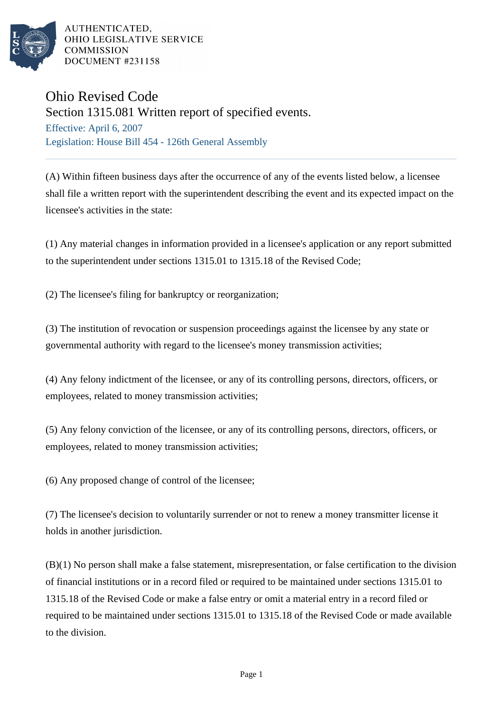

AUTHENTICATED. OHIO LEGISLATIVE SERVICE **COMMISSION** DOCUMENT #231158

## Ohio Revised Code

Section 1315.081 Written report of specified events.

Effective: April 6, 2007 Legislation: House Bill 454 - 126th General Assembly

(A) Within fifteen business days after the occurrence of any of the events listed below, a licensee shall file a written report with the superintendent describing the event and its expected impact on the licensee's activities in the state:

(1) Any material changes in information provided in a licensee's application or any report submitted to the superintendent under sections 1315.01 to 1315.18 of the Revised Code;

(2) The licensee's filing for bankruptcy or reorganization;

(3) The institution of revocation or suspension proceedings against the licensee by any state or governmental authority with regard to the licensee's money transmission activities;

(4) Any felony indictment of the licensee, or any of its controlling persons, directors, officers, or employees, related to money transmission activities;

(5) Any felony conviction of the licensee, or any of its controlling persons, directors, officers, or employees, related to money transmission activities;

(6) Any proposed change of control of the licensee;

(7) The licensee's decision to voluntarily surrender or not to renew a money transmitter license it holds in another jurisdiction.

(B)(1) No person shall make a false statement, misrepresentation, or false certification to the division of financial institutions or in a record filed or required to be maintained under sections 1315.01 to 1315.18 of the Revised Code or make a false entry or omit a material entry in a record filed or required to be maintained under sections 1315.01 to 1315.18 of the Revised Code or made available to the division.